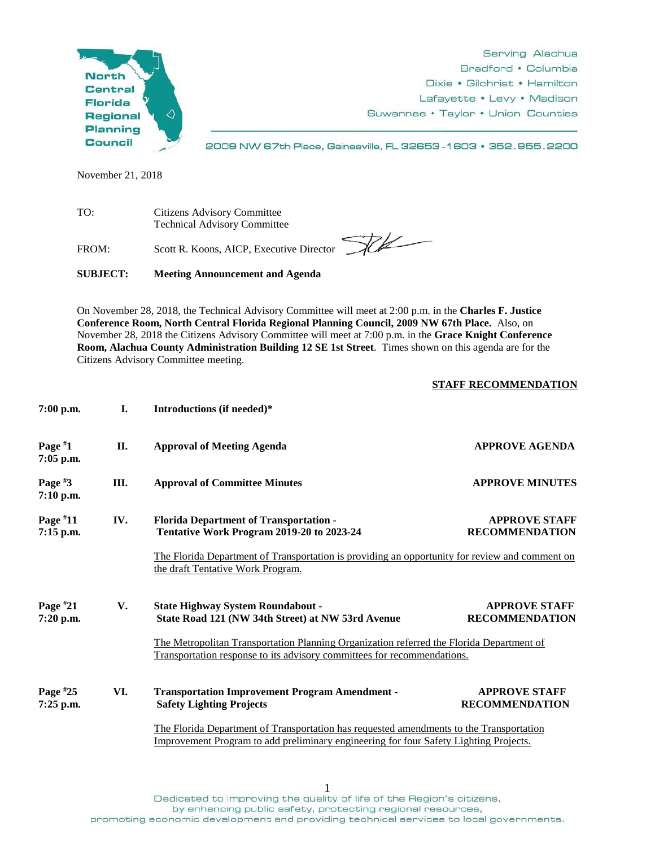

Serving Alachua Bradford • Columbia Dixie • Gilchrist • Hamilton Lafayette • Levy • Madison Suwannee • Taylor • Union Counties

2009 NW 67th Place, Gainesville, FL 32653-1603 · 352.955.2200

November 21, 2018

TO: Citizens Advisory Committee Technical Advisory Committee

FROM: Scott R. Koons, AICP, Executive Director

**FCK** 

**SUBJECT: Meeting Announcement and Agenda**

On November 28, 2018, the Technical Advisory Committee will meet at 2:00 p.m. in the **Charles F. Justice Conference Room, North Central Florida Regional Planning Council, 2009 NW 67th Place.** Also, on November 28, 2018 the Citizens Advisory Committee will meet at 7:00 p.m. in the **Grace Knight Conference Room, Alachua County Administration Building 12 SE 1st Street**. Times shown on this agenda are for the Citizens Advisory Committee meeting.

## **STAFF RECOMMENDATION**

| $7:00$ p.m.             | I.  | Introductions (if needed)*                                                                                                                                                                                                                                                                                            |                                               |
|-------------------------|-----|-----------------------------------------------------------------------------------------------------------------------------------------------------------------------------------------------------------------------------------------------------------------------------------------------------------------------|-----------------------------------------------|
| Page $*1$<br>7:05 p.m.  | II. | <b>Approval of Meeting Agenda</b>                                                                                                                                                                                                                                                                                     | <b>APPROVE AGENDA</b>                         |
| Page $#3$<br>7:10 p.m.  | Ш.  | <b>Approval of Committee Minutes</b>                                                                                                                                                                                                                                                                                  | <b>APPROVE MINUTES</b>                        |
| Page $*11$<br>7:15 p.m. | IV. | <b>APPROVE STAFF</b><br><b>Florida Department of Transportation -</b><br>Tentative Work Program 2019-20 to 2023-24<br><b>RECOMMENDATION</b><br>The Florida Department of Transportation is providing an opportunity for review and comment on<br>the draft Tentative Work Program.                                    |                                               |
| Page $*21$<br>7:20 p.m. | V.  | <b>State Highway System Roundabout -</b><br><b>APPROVE STAFF</b><br>State Road 121 (NW 34th Street) at NW 53rd Avenue<br><b>RECOMMENDATION</b><br>The Metropolitan Transportation Planning Organization referred the Florida Department of<br>Transportation response to its advisory committees for recommendations. |                                               |
| Page $*25$<br>7:25 p.m. | VI. | <b>Transportation Improvement Program Amendment -</b><br><b>Safety Lighting Projects</b><br>The Florida Department of Transportation has requested amendments to the Transportation<br>Improvement Program to add preliminary engineering for four Safety Lighting Projects.                                          | <b>APPROVE STAFF</b><br><b>RECOMMENDATION</b> |